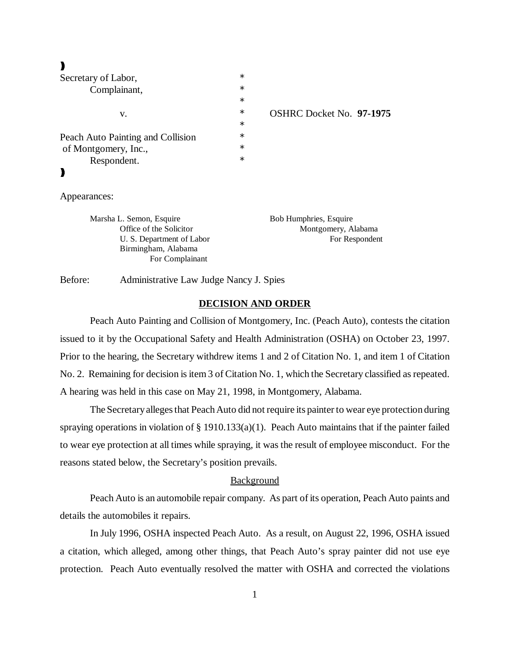# $\blacktriangleright$

| Secretary of Labor,               | $\ast$ |              |
|-----------------------------------|--------|--------------|
| Complainant,<br>v.                | $\ast$ |              |
|                                   | $\ast$ |              |
|                                   | $\ast$ | <b>OSHRC</b> |
|                                   | $\ast$ |              |
| Peach Auto Painting and Collision | $\ast$ |              |
| of Montgomery, Inc.,              | $\ast$ |              |
| Respondent.                       | $\ast$ |              |
|                                   |        |              |
|                                   |        |              |
| $\Lambda$ mpanonage               |        |              |

Docket No. **97-1975** 

Appearances:

Marsha L. Semon, Esquire Bob Humphries, Esquire Birmingham, Alabama For Complainant

Office of the Solicitor Montgomery, Alabama U. S. Department of Labor For Respondent

Before: Administrative Law Judge Nancy J. Spies

#### **DECISION AND ORDER**

Peach Auto Painting and Collision of Montgomery, Inc. (Peach Auto), contests the citation issued to it by the Occupational Safety and Health Administration (OSHA) on October 23, 1997. Prior to the hearing, the Secretary withdrew items 1 and 2 of Citation No. 1, and item 1 of Citation No. 2. Remaining for decision is item 3 of Citation No. 1, which the Secretary classified as repeated. A hearing was held in this case on May 21, 1998, in Montgomery, Alabama.

The Secretary alleges that Peach Auto did not require its painter to wear eye protection during spraying operations in violation of  $\S$  1910.133(a)(1). Peach Auto maintains that if the painter failed to wear eye protection at all times while spraying, it was the result of employee misconduct. For the reasons stated below, the Secretary's position prevails.

## **Background**

Peach Auto is an automobile repair company. As part of its operation, Peach Auto paints and details the automobiles it repairs.

In July 1996, OSHA inspected Peach Auto. As a result, on August 22, 1996, OSHA issued a citation, which alleged, among other things, that Peach Auto's spray painter did not use eye protection. Peach Auto eventually resolved the matter with OSHA and corrected the violations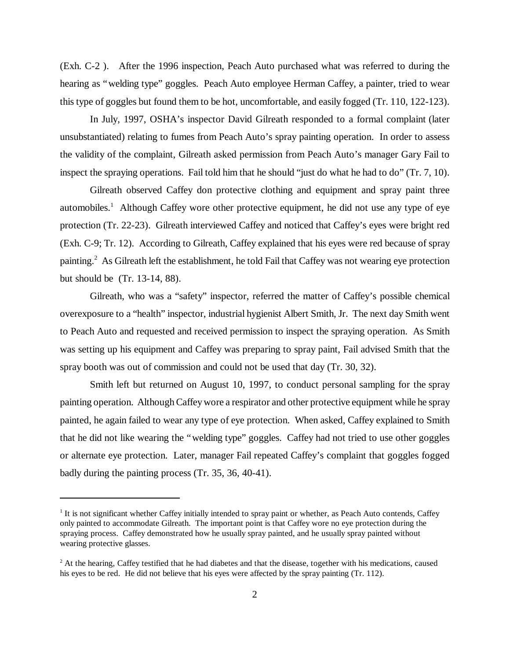(Exh. C-2 ). After the 1996 inspection, Peach Auto purchased what was referred to during the hearing as "welding type" goggles. Peach Auto employee Herman Caffey, a painter, tried to wear this type of goggles but found them to be hot, uncomfortable, and easily fogged (Tr. 110, 122-123).

In July, 1997, OSHA's inspector David Gilreath responded to a formal complaint (later unsubstantiated) relating to fumes from Peach Auto's spray painting operation. In order to assess the validity of the complaint, Gilreath asked permission from Peach Auto's manager Gary Fail to inspect the spraying operations. Fail told him that he should "just do what he had to do" (Tr. 7, 10).

Gilreath observed Caffey don protective clothing and equipment and spray paint three automobiles.<sup>1</sup> Although Caffey wore other protective equipment, he did not use any type of eye protection (Tr. 22-23). Gilreath interviewed Caffey and noticed that Caffey's eyes were bright red (Exh. C-9; Tr. 12). According to Gilreath, Caffey explained that his eyes were red because of spray painting.<sup>2</sup> As Gilreath left the establishment, he told Fail that Caffey was not wearing eye protection but should be (Tr. 13-14, 88).

Gilreath, who was a "safety" inspector, referred the matter of Caffey's possible chemical overexposure to a "health" inspector, industrial hygienist Albert Smith, Jr. The next day Smith went to Peach Auto and requested and received permission to inspect the spraying operation. As Smith was setting up his equipment and Caffey was preparing to spray paint, Fail advised Smith that the spray booth was out of commission and could not be used that day (Tr. 30, 32).

Smith left but returned on August 10, 1997, to conduct personal sampling for the spray painting operation. Although Caffey wore a respirator and other protective equipment while he spray painted, he again failed to wear any type of eye protection. When asked, Caffey explained to Smith that he did not like wearing the "welding type" goggles. Caffey had not tried to use other goggles or alternate eye protection. Later, manager Fail repeated Caffey's complaint that goggles fogged badly during the painting process (Tr. 35, 36, 40-41).

<sup>&</sup>lt;sup>1</sup> It is not significant whether Caffey initially intended to spray paint or whether, as Peach Auto contends, Caffey only painted to accommodate Gilreath. The important point is that Caffey wore no eye protection during the spraying process. Caffey demonstrated how he usually spray painted, and he usually spray painted without wearing protective glasses.

 $2$  At the hearing, Caffey testified that he had diabetes and that the disease, together with his medications, caused his eyes to be red. He did not believe that his eyes were affected by the spray painting (Tr. 112).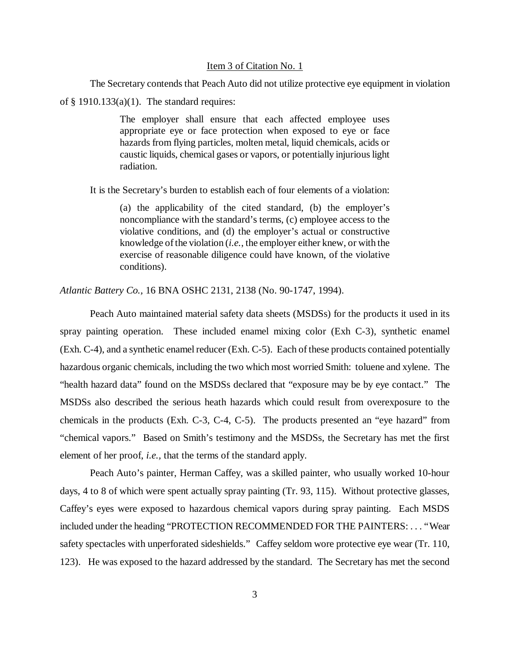#### Item 3 of Citation No. 1

The Secretary contends that Peach Auto did not utilize protective eye equipment in violation

of  $\S$  1910.133(a)(1). The standard requires:

The employer shall ensure that each affected employee uses appropriate eye or face protection when exposed to eye or face hazards from flying particles, molten metal, liquid chemicals, acids or caustic liquids, chemical gases or vapors, or potentially injurious light radiation.

It is the Secretary's burden to establish each of four elements of a violation:

(a) the applicability of the cited standard, (b) the employer's noncompliance with the standard's terms, (c) employee access to the violative conditions, and (d) the employer's actual or constructive knowledge of the violation (*i.e.*, the employer either knew, or with the exercise of reasonable diligence could have known, of the violative conditions).

*Atlantic Battery Co.,* 16 BNA OSHC 2131, 2138 (No. 90-1747, 1994).

Peach Auto maintained material safety data sheets (MSDSs) for the products it used in its spray painting operation. These included enamel mixing color (Exh C-3), synthetic enamel (Exh. C-4), and a synthetic enamel reducer (Exh. C-5). Each of these products contained potentially hazardous organic chemicals, including the two which most worried Smith: toluene and xylene. The "health hazard data" found on the MSDSs declared that "exposure may be by eye contact." The MSDSs also described the serious heath hazards which could result from overexposure to the chemicals in the products (Exh. C-3, C-4, C-5). The products presented an "eye hazard" from "chemical vapors." Based on Smith's testimony and the MSDSs, the Secretary has met the first element of her proof, *i.e.,* that the terms of the standard apply.

Peach Auto's painter, Herman Caffey, was a skilled painter, who usually worked 10-hour days, 4 to 8 of which were spent actually spray painting (Tr. 93, 115). Without protective glasses, Caffey's eyes were exposed to hazardous chemical vapors during spray painting. Each MSDS included under the heading "PROTECTION RECOMMENDED FOR THE PAINTERS: . . . "Wear safety spectacles with unperforated sideshields." Caffey seldom wore protective eye wear (Tr. 110, 123). He was exposed to the hazard addressed by the standard. The Secretary has met the second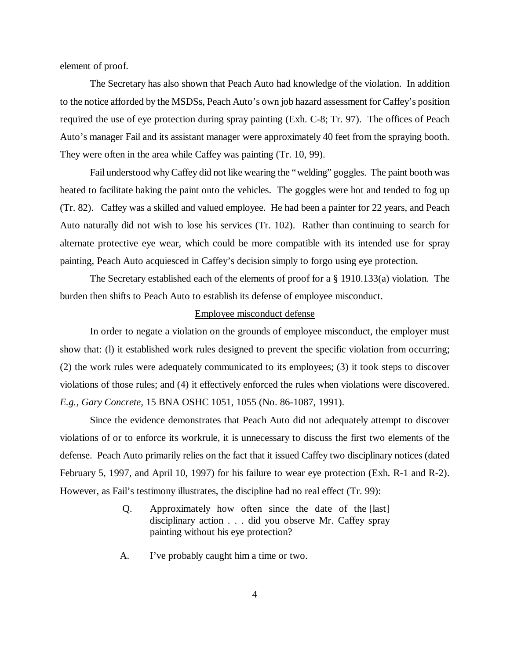element of proof.

The Secretary has also shown that Peach Auto had knowledge of the violation. In addition to the notice afforded by the MSDSs, Peach Auto's own job hazard assessment for Caffey's position required the use of eye protection during spray painting (Exh. C-8; Tr. 97). The offices of Peach Auto's manager Fail and its assistant manager were approximately 40 feet from the spraying booth. They were often in the area while Caffey was painting (Tr. 10, 99).

Fail understood why Caffey did not like wearing the "welding" goggles. The paint booth was heated to facilitate baking the paint onto the vehicles. The goggles were hot and tended to fog up (Tr. 82). Caffey was a skilled and valued employee. He had been a painter for 22 years, and Peach Auto naturally did not wish to lose his services (Tr. 102). Rather than continuing to search for alternate protective eye wear, which could be more compatible with its intended use for spray painting, Peach Auto acquiesced in Caffey's decision simply to forgo using eye protection.

The Secretary established each of the elements of proof for a § 1910.133(a) violation. The burden then shifts to Peach Auto to establish its defense of employee misconduct.

#### Employee misconduct defense

In order to negate a violation on the grounds of employee misconduct, the employer must show that: (l) it established work rules designed to prevent the specific violation from occurring; (2) the work rules were adequately communicated to its employees; (3) it took steps to discover violations of those rules; and (4) it effectively enforced the rules when violations were discovered. *E.g., Gary Concrete,* 15 BNA OSHC 1051, 1055 (No. 86-1087, 1991).

Since the evidence demonstrates that Peach Auto did not adequately attempt to discover violations of or to enforce its workrule, it is unnecessary to discuss the first two elements of the defense. Peach Auto primarily relies on the fact that it issued Caffey two disciplinary notices (dated February 5, 1997, and April 10, 1997) for his failure to wear eye protection (Exh. R-1 and R-2). However, as Fail's testimony illustrates, the discipline had no real effect (Tr. 99):

- Q. Approximately how often since the date of the [last] disciplinary action . . . did you observe Mr. Caffey spray painting without his eye protection?
- A. I've probably caught him a time or two.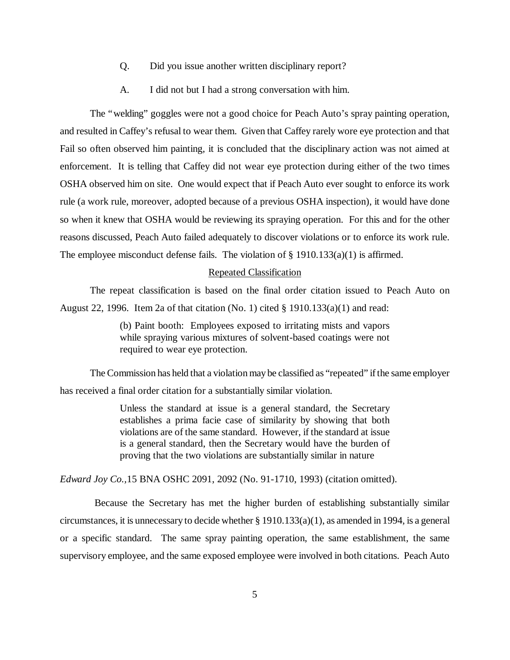- Q. Did you issue another written disciplinary report?
- A. I did not but I had a strong conversation with him.

The "welding" goggles were not a good choice for Peach Auto's spray painting operation, and resulted in Caffey's refusal to wear them. Given that Caffey rarely wore eye protection and that Fail so often observed him painting, it is concluded that the disciplinary action was not aimed at enforcement. It is telling that Caffey did not wear eye protection during either of the two times OSHA observed him on site. One would expect that if Peach Auto ever sought to enforce its work rule (a work rule, moreover, adopted because of a previous OSHA inspection), it would have done so when it knew that OSHA would be reviewing its spraying operation. For this and for the other reasons discussed, Peach Auto failed adequately to discover violations or to enforce its work rule. The employee misconduct defense fails. The violation of  $\S$  1910.133(a)(1) is affirmed.

# Repeated Classification

The repeat classification is based on the final order citation issued to Peach Auto on August 22, 1996. Item 2a of that citation (No. 1) cited  $\S$  1910.133(a)(1) and read:

> (b) Paint booth: Employees exposed to irritating mists and vapors while spraying various mixtures of solvent-based coatings were not required to wear eye protection.

The Commission has held that a violation may be classified as "repeated" if the same employer has received a final order citation for a substantially similar violation.

> Unless the standard at issue is a general standard, the Secretary establishes a prima facie case of similarity by showing that both violations are of the same standard. However, if the standard at issue is a general standard, then the Secretary would have the burden of proving that the two violations are substantially similar in nature

*Edward Joy Co.,*15 BNA OSHC 2091, 2092 (No. 91-1710, 1993) (citation omitted).

 Because the Secretary has met the higher burden of establishing substantially similar circumstances, it is unnecessary to decide whether § 1910.133(a)(1), as amended in 1994, is a general or a specific standard. The same spray painting operation, the same establishment, the same supervisory employee, and the same exposed employee were involved in both citations. Peach Auto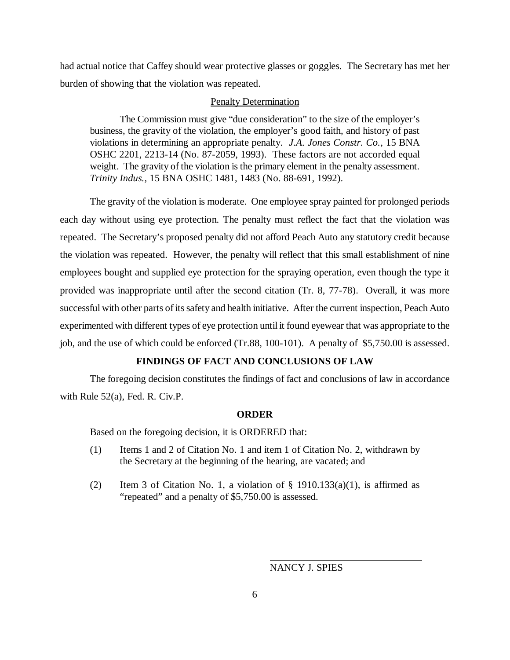had actual notice that Caffey should wear protective glasses or goggles. The Secretary has met her burden of showing that the violation was repeated.

## Penalty Determination

The Commission must give "due consideration" to the size of the employer's business, the gravity of the violation, the employer's good faith, and history of past violations in determining an appropriate penalty. *J.A. Jones Constr. Co.,* 15 BNA OSHC 2201, 2213-14 (No. 87-2059, 1993). These factors are not accorded equal weight. The gravity of the violation is the primary element in the penalty assessment. *Trinity Indus.,* 15 BNA OSHC 1481, 1483 (No. 88-691, 1992).

The gravity of the violation is moderate. One employee spray painted for prolonged periods each day without using eye protection. The penalty must reflect the fact that the violation was repeated. The Secretary's proposed penalty did not afford Peach Auto any statutory credit because the violation was repeated. However, the penalty will reflect that this small establishment of nine employees bought and supplied eye protection for the spraying operation, even though the type it provided was inappropriate until after the second citation (Tr. 8, 77-78). Overall, it was more successful with other parts of its safety and health initiative. After the current inspection, Peach Auto experimented with different types of eye protection until it found eyewear that was appropriate to the job, and the use of which could be enforced (Tr.88, 100-101). A penalty of \$5,750.00 is assessed.

## **FINDINGS OF FACT AND CONCLUSIONS OF LAW**

The foregoing decision constitutes the findings of fact and conclusions of law in accordance with Rule 52(a), Fed. R. Civ.P.

## **ORDER**

Based on the foregoing decision, it is ORDERED that:

- (1) Items 1 and 2 of Citation No. 1 and item 1 of Citation No. 2, withdrawn by the Secretary at the beginning of the hearing, are vacated; and
- (2) Item 3 of Citation No. 1, a violation of  $\S$  1910.133(a)(1), is affirmed as "repeated" and a penalty of \$5,750.00 is assessed.

NANCY J. SPIES